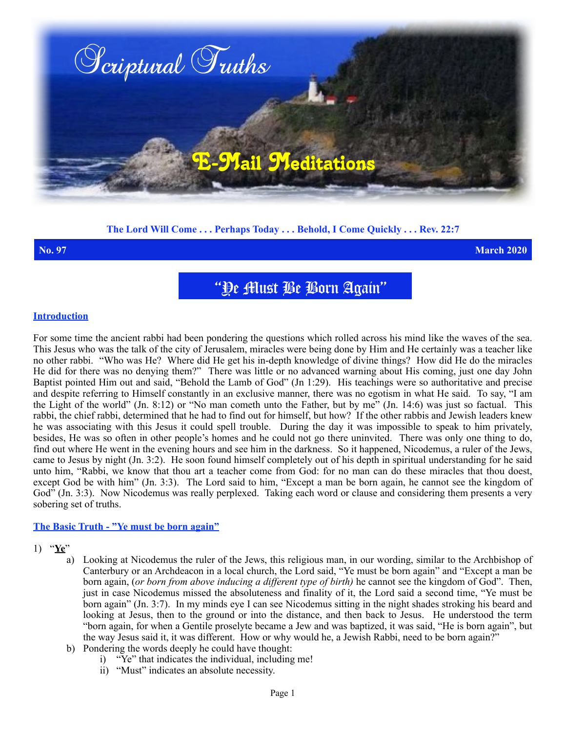

## **The Lord Will Come . . . Perhaps Today . . . Behold, I Come Quickly . . . Rev. 22:7**

**No. 97 March 2020**

"Ye Must Be Born Again"

### **Introduction**

For some time the ancient rabbi had been pondering the questions which rolled across his mind like the waves of the sea. This Jesus who was the talk of the city of Jerusalem, miracles were being done by Him and He certainly was a teacher like no other rabbi. "Who was He? Where did He get his in-depth knowledge of divine things? How did He do the miracles He did for there was no denying them?" There was little or no advanced warning about His coming, just one day John Baptist pointed Him out and said, "Behold the Lamb of God" (Jn 1:29). His teachings were so authoritative and precise and despite referring to Himself constantly in an exclusive manner, there was no egotism in what He said. To say, "I am the Light of the world" (Jn. 8:12) or "No man cometh unto the Father, but by me" (Jn. 14:6) was just so factual. This rabbi, the chief rabbi, determined that he had to find out for himself, but how? If the other rabbis and Jewish leaders knew he was associating with this Jesus it could spell trouble. During the day it was impossible to speak to him privately, besides, He was so often in other people's homes and he could not go there uninvited. There was only one thing to do, find out where He went in the evening hours and see him in the darkness. So it happened, Nicodemus, a ruler of the Jews, came to Jesus by night (Jn. 3:2). He soon found himself completely out of his depth in spiritual understanding for he said unto him, "Rabbi, we know that thou art a teacher come from God: for no man can do these miracles that thou doest, except God be with him" (Jn. 3:3). The Lord said to him, "Except a man be born again, he cannot see the kingdom of God<sup>"</sup> (Jn. 3:3). Now Nicodemus was really perplexed. Taking each word or clause and considering them presents a very sobering set of truths.

### **The Basic Truth - "Ye must be born again"**

### 1) "**Ye**"

- a) Looking at Nicodemus the ruler of the Jews, this religious man, in our wording, similar to the Archbishop of Canterbury or an Archdeacon in a local church, the Lord said, "Ye must be born again" and "Except a man be born again, (*or born from above inducing a different type of birth)* he cannot see the kingdom of God". Then, just in case Nicodemus missed the absoluteness and finality of it, the Lord said a second time, "Ye must be born again" (Jn. 3:7). In my minds eye I can see Nicodemus sitting in the night shades stroking his beard and looking at Jesus, then to the ground or into the distance, and then back to Jesus. He understood the term "born again, for when a Gentile proselyte became a Jew and was baptized, it was said, "He is born again", but the way Jesus said it, it was different. How or why would he, a Jewish Rabbi, need to be born again?"
- b) Pondering the words deeply he could have thought:
	- i) "Ye" that indicates the individual, including me!
	- ii) "Must" indicates an absolute necessity.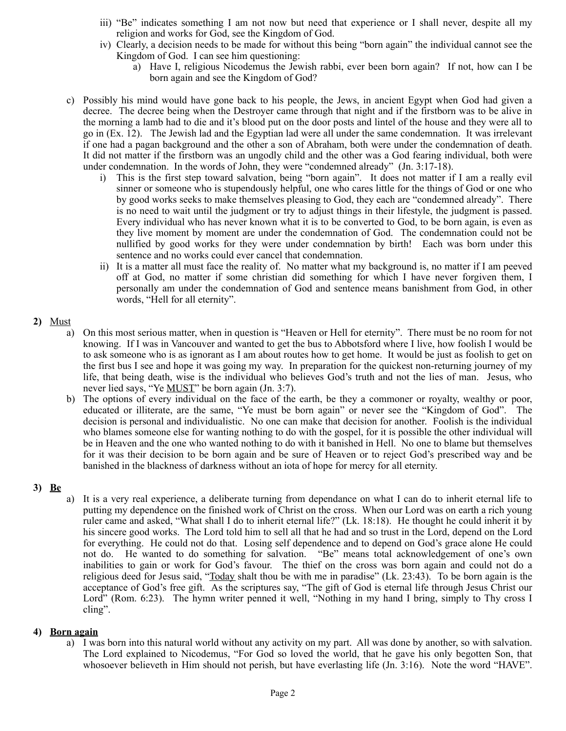- iii) "Be" indicates something I am not now but need that experience or I shall never, despite all my religion and works for God, see the Kingdom of God.
- iv) Clearly, a decision needs to be made for without this being "born again" the individual cannot see the Kingdom of God. I can see him questioning:
	- a) Have I, religious Nicodemus the Jewish rabbi, ever been born again? If not, how can I be born again and see the Kingdom of God?
- c) Possibly his mind would have gone back to his people, the Jews, in ancient Egypt when God had given a decree. The decree being when the Destroyer came through that night and if the firstborn was to be alive in the morning a lamb had to die and it's blood put on the door posts and lintel of the house and they were all to go in (Ex. 12). The Jewish lad and the Egyptian lad were all under the same condemnation. It was irrelevant if one had a pagan background and the other a son of Abraham, both were under the condemnation of death. It did not matter if the firstborn was an ungodly child and the other was a God fearing individual, both were under condemnation. In the words of John, they were "condemned already" (Jn. 3:17-18).
	- i) This is the first step toward salvation, being "born again". It does not matter if I am a really evil sinner or someone who is stupendously helpful, one who cares little for the things of God or one who by good works seeks to make themselves pleasing to God, they each are "condemned already". There is no need to wait until the judgment or try to adjust things in their lifestyle, the judgment is passed. Every individual who has never known what it is to be converted to God, to be born again, is even as they live moment by moment are under the condemnation of God. The condemnation could not be nullified by good works for they were under condemnation by birth! Each was born under this sentence and no works could ever cancel that condemnation.
	- ii) It is a matter all must face the reality of. No matter what my background is, no matter if I am peeved off at God, no matter if some christian did something for which I have never forgiven them, I personally am under the condemnation of God and sentence means banishment from God, in other words, "Hell for all eternity".

## **2)** Must

- a) On this most serious matter, when in question is "Heaven or Hell for eternity". There must be no room for not knowing. If I was in Vancouver and wanted to get the bus to Abbotsford where I live, how foolish I would be to ask someone who is as ignorant as I am about routes how to get home. It would be just as foolish to get on the first bus I see and hope it was going my way. In preparation for the quickest non-returning journey of my life, that being death, wise is the individual who believes God's truth and not the lies of man. Jesus, who never lied says, "Ye MUST" be born again (Jn. 3:7).
- b) The options of every individual on the face of the earth, be they a commoner or royalty, wealthy or poor, educated or illiterate, are the same, "Ye must be born again" or never see the "Kingdom of God". The decision is personal and individualistic. No one can make that decision for another. Foolish is the individual who blames someone else for wanting nothing to do with the gospel, for it is possible the other individual will be in Heaven and the one who wanted nothing to do with it banished in Hell. No one to blame but themselves for it was their decision to be born again and be sure of Heaven or to reject God's prescribed way and be banished in the blackness of darkness without an iota of hope for mercy for all eternity.

# **3) Be**

a) It is a very real experience, a deliberate turning from dependance on what I can do to inherit eternal life to putting my dependence on the finished work of Christ on the cross. When our Lord was on earth a rich young ruler came and asked, "What shall I do to inherit eternal life?" (Lk. 18:18). He thought he could inherit it by his sincere good works. The Lord told him to sell all that he had and so trust in the Lord, depend on the Lord for everything. He could not do that. Losing self dependence and to depend on God's grace alone He could not do. He wanted to do something for salvation. "Be" means total acknowledgement of one's own inabilities to gain or work for God's favour. The thief on the cross was born again and could not do a religious deed for Jesus said, "Today shalt thou be with me in paradise" (Lk. 23:43). To be born again is the acceptance of God's free gift. As the scriptures say, "The gift of God is eternal life through Jesus Christ our Lord" (Rom. 6:23). The hymn writer penned it well, "Nothing in my hand I bring, simply to Thy cross I cling".

## **4) Born again**

a) I was born into this natural world without any activity on my part. All was done by another, so with salvation. The Lord explained to Nicodemus, "For God so loved the world, that he gave his only begotten Son, that whosoever believeth in Him should not perish, but have everlasting life (Jn. 3:16). Note the word "HAVE".